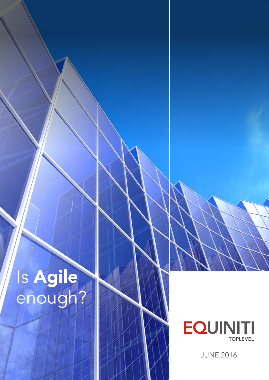# Is Agile enough?



JUNE 2016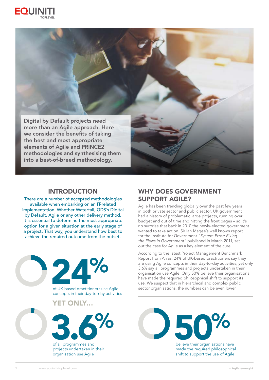



#### INTRODUCTION

There are a number of accepted methodologies available when embarking on an IT-related implementation. Whether Waterfall, GDS's Digital by Default, Agile or any other delivery method, it is essential to determine the most appropriate option for a given situation at the early stage of a project. That way, you understand how best to achieve the required outcome from the outset.



## WHY DOES GOVERNMENT SUPPORT AGILE?

Agile has been trending globally over the past few years in both private sector and public sector. UK government had a history of problematic large projects, running over budget and out of time and hitting the front pages – so it's no surprise that back in 2010 the newly-elected government wanted to take action. Sir Ian Magee's well known report for the Institute for Government *"System Error: Fixing the Flaws in Government"* published in March 2011, set out the case for Agile as a key element of the cure.

According to the latest Project Management Benchmark Report from Arras, 24% of UK-based practitioners say they are using Agile concepts in their day-to-day activities, yet only 3.6% say all programmes and projects undertaken in their organisation use Agile. Only 50% believe their organisations have made the required philosophical shift to support its use. We suspect that in hierarchical and complex public sector organisations, the numbers can be even lower.



made the required philosophical shift to support the use of Agile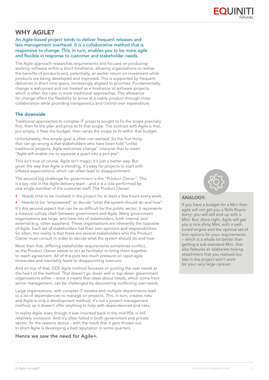

## WHY AGILE?

#### An Agile-based project tends to deliver frequent releases and less management overhead. It is a collaborative method that is responsive to change. This, in turn, enables you to be more agile and flexible in response to customer and stakeholder needs.

The Agile approach researches requirements and focuses on producing working software within a short timeframe, allowing organisations to realise the benefits of products and, potentially, an earlier return on investment while products are being developed and improved. This is supported by frequent deliveries in short time spans, increasingly aligned to priorities. Fundamentally, change is welcomed and not treated as a hindrance to software projects, which is often the case in more traditional approaches. This allowance for change offers the flexibility to arrive at a viable product through close collaboration while providing transparency and control over expenditure.

#### The downside

Traditional approaches to complex IT projects sought to fix the scope precisely first, then fix the plan and price to fit that scope. The contrast with Agile is that, put simply, it fixes the budget, then varies the scope to fit within that budget.

Unfortunately, this simple goal is often not realised. So the first thing that can go wrong is that stakeholders who have been told "unlike traditional projects, Agile welcomes change" interpret that to mean "Agile will enable me to squeeze a quart into a pint pot".

This isn't true of course, Agile isn't magic; it's just a better way. But given the way that Agile is trending, it's easy for projects to start with inflated expectations, which can often lead to disappointment.

The second big challenge for government is the "Product Owner". This is a key role in the Agile delivery team - and it is a role performed by one single member of the customer staff. The Product Owner:

- Needs time to be involved in the project for at least a few hours every week.
- Needs to be "empowered" to decide "what the system should do and how".

It's this second aspect that can be so difficult for the public sector. It represents a massive culture clash between government and Agile. Many government organisations are large, and have lots of stakeholders, both internal and external (e.g. other suppliers). These organisations are inherently the opposite of Agile. Each set of stakeholders has their own opinions and responsibilities. So often, the reality is that there are several stakeholders who the Product Owner must consult in order to decide what the system should do and how.

More than that, differing stakeholder requirements sometimes conflict, so the Product Owner needs to act as facilitator to bring them together to reach agreement. All of this puts too much pressure on rapid agile timescales and inevitably leads to disappointing overruns.

And on top of that, GDS Agile method focusses on putting the user needs at the heart of the method. That doesn't go down well in top-down government organisations either – since it means that ideas about needs, which come from senior management, can be challenged by discovering conflicting user needs.

Large organisations, with complex IT estates and multiple departments lead to a lot of dependencies to manage on projects. This, in turn, creates risks and Agile is only a development method, it's not a project management method, so it doesn't offer anything to help with dependencies and risks.

In reality Agile, even though it was invented back in the mid-90s, is still relatively immature. And it's often failed in both government and private sector, for the reasons above – with the result that it gets thrown out. In short Agile is developing a bad reputation in some quarters.

Hence we saw the need for Agile+.



#### ANALOGY:

If you have a budget for a Mini then agile will not get you a Rolls Royce. Sorry: you will still end up with a Mini. But, done right, Agile will get you a nice shiny Mini, with a welltuned engine and the optimal set of trim options for your requirements – which is a whole lot better than getting a sub-standard Mini, that also features an elaborate towing attachment that you realised too late in the project won't work for your very large caravan.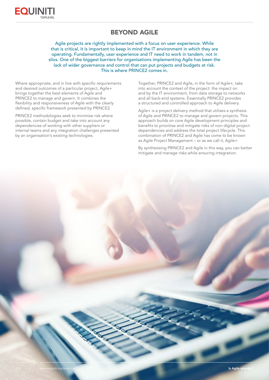

## BEYOND AGILE

Agile projects are rightly implemented with a focus on user experience. While that is critical, it is important to keep in mind the IT environment in which they are operating. Fundamentally, user experience and IT need to work in tandem, not in silos. One of the biggest barriers for organisations implementing Agile has been the lack of wider governance and control that can put projects and budgets at risk. This is where PRINCE2 comes in.

Where appropriate, and in line with specific requirements and desired outcomes of a particular project, Agile+ brings together the best elements of Agile and PRINCE2 to manage and govern. It combines the flexibility and responsiveness of Agile with the clearly defined, specific framework presented by PRINCE2.

PRINCE2 methodologies seek to minimise risk where possible, contain budget and take into account any dependencies of working with other suppliers or internal teams and any integration challenges presented by an organisation's existing technologies.

Together, PRINCE2 and Agile, in the form of Agile+, take into account the context of the project: the impact on and by the IT environment, from data storage to networks and all back-end systems. Essentially PRINCE2 provides a structured and controlled approach to Agile delivery.

Agile+ is a project delivery method that utilises a synthesis of Agile and PRINCE2 to manage and govern projects. This approach builds on core Agile development principles and benefits to prioritise and mitigate risks of non-digital project dependencies and address the total project lifecycle. This combination of PRINCE2 and Agile has come to be known as Agile Project Management – or as we call it, Agile+.

By synthesising PRINCE2 and Agile in this way, you can better mitigate and manage risks while ensuring integration.

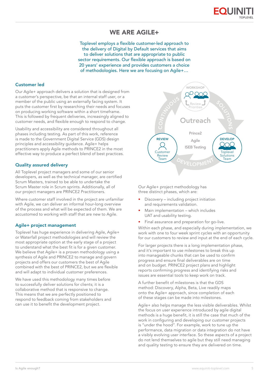

## WE ARE AGILE+

Toplevel employs a flexible customer-led approach to the delivery of Digital by Default services that aims to deliver solutions that are appropriate to public sector requirements. Our flexible approach is based on 20 years' experience and provides customers a choice of methodologies. Here we are focusing on Agile+…

#### Customer led

Our Agile+ approach delivers a solution that is designed from a customer's perspective, be that an internal staff user, or a member of the public using an externally facing system. It puts the customer first by researching their needs and focuses on producing working software within a short timeframe. This is followed by frequent deliveries, increasingly aligned to customer needs, and flexible enough to respond to change.

Usability and accessibility are considered throughout all phases including testing. As part of this work, reference is made to the Government Digital Service (GDS) design principles and accessibility guidance. Agile+ helps practitioners apply Agile methods to PRINCE2 in the most effective way to produce a perfect blend of best practices.

#### Quality assured delivery

All Toplevel project managers and some of our senior developers, as well as the technical manager, are certified Scrum Masters, trained to be able to undertake the Scrum Master role in Scrum sprints. Additionally, all of our project managers are PRINCE2 Practitioners.

Where customer staff involved in the project are unfamiliar with Agile, we can deliver an informal hour-long overview of the process and what will be expected of them. We are accustomed to working with staff that are new to Agile.

#### Agile+ project management

Toplevel has huge experience in delivering Agile, Agile+ or Waterfall project methodologies and will review the most appropriate option at the early stage of a project to understand what the best fit is for a given customer. We believe that Agile+ is a proven methodology using a synthesis of Agile and PRINCE2 to manage and govern projects and offers our customers the best of Agile combined with the best of PRINCE2, but we are flexible and will adapt to individual customer preferences.

We have used this methodology many times before to successfully deliver solutions for clients; it is a collaborative method that is responsive to change. This means that we are perfectly positioned to respond to feedback coming from stakeholders and can use it to benefit the development project.



Our Agile+ project methodology has three distinct phases, which are:

- Discovery including project initiation and requirements validation.
- Main implementation which includes UAT and usability testing.
- Final assurance and preparation for go-live.

Within each phase, and especially during implementation, we work with one to four week sprint cycles with an opportunity for our customers to review and input at the end of each cycle.

For larger projects there is a long implementation phase, and it's important to use milestones to break this up into manageable chunks that can be used to confirm progress and ensure final deliverables are on time and on budget. PRINCE2 project plans and highlight reports confirming progress and identifying risks and issues are essential tools to keep work on track.

A further benefit of milestones is that the GDS method: Discovery, Alpha, Beta, Live readily maps onto the Agile+ approach, since completion of each of these stages can be made into milestones.

Agile+ also helps manage the less visible deliverables. Whilst the focus on user experience introduced by agile digital methods is a huge benefit, it is still the case that much of the work in configuring and developing our customer projects is "under the hood". For example, work to tune up the performance, data migration or data integration do not have a visibly evolving user interface. So these aspects of a project do not lend themselves to agile but they still need managing and quality testing to ensure they are delivered on time.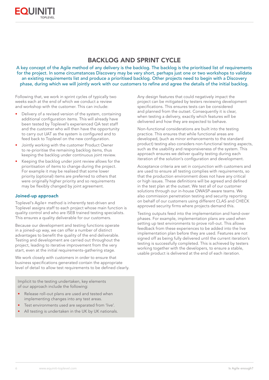## BACKLOG AND SPRINT CYCLE

A key concept of the Agile method of any delivery is the backlog. The backlog is the prioritised list of requirements for the project. In some circumstances Discovery may be very short, perhaps just one or two workshops to validate an existing requirements list and produce a prioritised backlog. Other projects need to begin with a Discovery phase, during which we will jointly work with our customers to refine and agree the details of the initial backlog.

Following that, we work in sprint cycles of typically two weeks each at the end of which we conduct a review and workshop with the customer. This can include:

- Delivery of a revised version of the system, containing additional configuration items. This will already have been tested by Toplevel's experienced QA test staff and the customer who will then have the opportunity to carry out UAT as the system is configured and to feed back to Toplevel on the new configuration.
- Jointly working with the customer Product Owner to re-prioritise the remaining backlog items, thus keeping the backlog under continuous joint review.
- Keeping the backlog under joint review allows for the prioritisation of items to change during the project. For example it may be realised that some lower priority (optional) items are preferred to others that were originally higher priority and so requirements may be flexibly changed by joint agreement.

#### Joined-up approach

Toplevel's Agile+ method is inherently test-driven and Toplevel assigns staff to each project whose main function is quality control and who are ISEB trained testing specialists. This ensures a quality deliverable for our customers.

Because our development and testing functions operate in a joined-up way, we can offer a number of distinct advantages to benefit the quality of the end deliverable. Testing and development are carried out throughout the project, leading to iterative improvement from the very start, even at the initial requirements-gathering stage.

We work closely with customers in order to ensure that business specifications generated contain the appropriate level of detail to allow test requirements to be defined clearly.

Implicit to the testing undertaken, key elements of our approach include the following:

- Release roll-out plans are used and tested when implementing changes into any test areas.
- Test environments used are separated from 'live'.
- All testing is undertaken in the UK by UK nationals.

Any design features that could negatively impact the project can be mitigated by testers reviewing development specifications. This ensures tests can be considered and planned from the outset. Consequently it is clear, when testing a delivery, exactly which features will be delivered and how they are expected to behave.

Non-functional considerations are built into the testing practice. This ensures that while functional areas are developed, (such as minor enhancements to the standard product) testing also considers non-functional testing aspects, such as the usability and responsiveness of the system. This approach ensures we deliver quality testing during each iteration of the solution's configuration and development.

Acceptance criteria are set in conjunction with customers and are used to ensure all testing complies with requirements, so that the production environment does not have any critical or high issues. These definitions will be agreed and defined in the test plan at the outset. We test all of our customer solutions through our in-house OWASP-aware teams. We also commission penetration testing and security reporting on behalf of our customers using different CLAS and CHECK approved security firms where projects demand this.

Testing outputs feed into the implementation and hand-over phases. For example, implementation plans are used when setting up test environments to prove roll-out. This allows feedback from these experiences to be added into the live implementation plan before they are used. Features are not signed off as being fully delivered until the current iteration's testing is successfully completed. This is achieved by testers working together with the developers, to ensure a stable, usable product is delivered at the end of each iteration.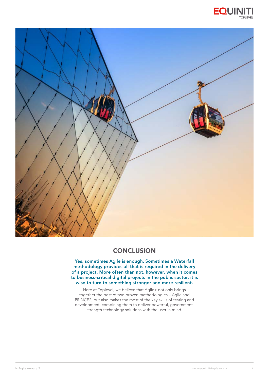



## **CONCLUSION**

Yes, sometimes Agile is enough. Sometimes a Waterfall methodology provides all that is required in the delivery of a project. More often than not, however, when it comes to business-critical digital projects in the public sector, it is wise to turn to something stronger and more resilient.

Here at Toplevel, we believe that Agile+ not only brings together the best of two proven methodologies – Agile and PRINCE2, but also makes the most of the key skills of testing and development, combining them to deliver powerful, governmentstrength technology solutions with the user in mind.